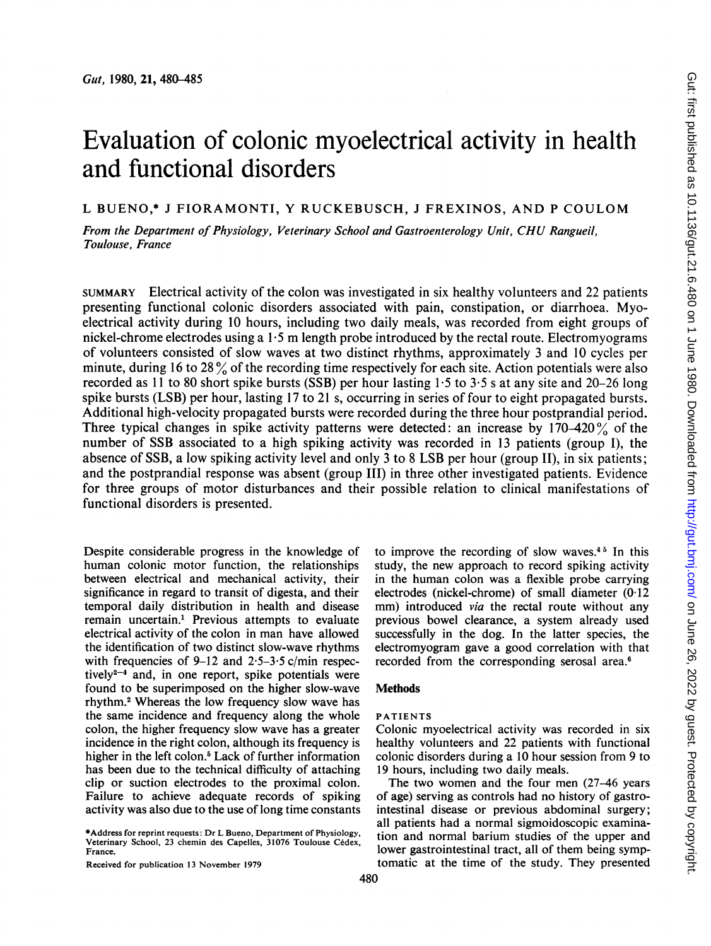# Evaluation of colonic myoelectrical activity in health and functional disorders

L BUENO,\* <sup>J</sup> FIORAMONTI, Y RUCKEBUSCH, <sup>J</sup> FREXINOS, AND <sup>P</sup> COULOM

From the Department of Physiology, Veterinary School and Gastroenterology Unit, CHU Rangueil, Toulouse, France

SUMMARY Electrical activity of the colon was investigated in six healthy volunteers and 22 patients presenting functional colonic disorders associated with pain, constipation, or diarrhoea. Myoelectrical activity during 10 hours, including two daily meals, was recorded from eight groups of nickel-chrome electrodes using <sup>a</sup> 1.5 m length probe introduced by the rectal route. Electromyograms of volunteers consisted of slow waves at two distinct rhythms, approximately 3 and 10 cycles per minute, during <sup>16</sup> to <sup>28</sup> % of the recording time respectively for each site. Action potentials were also recorded as 11 to 80 short spike bursts (SSB) per hour lasting  $1.5$  to  $3.5$  s at any site and 20–26 long spike bursts (LSB) per hour, lasting 17 to 21 s, occurring in series of four to eight propagated bursts. Additional high-velocity propagated bursts were recorded during the three hour postprandial period. Three typical changes in spike activity patterns were detected: an increase by  $170-420\%$  of the number of SSB associated to a high spiking activity was recorded in 13 patients (group I), the absence of SSB, a low spiking activity level and only <sup>3</sup> to <sup>8</sup> LSB per hour (group II), in six patients; and the postprandial response was absent (group III) in three other investigated patients. Evidence for three groups of motor disturbances and their possible relation to clinical manifestations of functional disorders is presented.

Despite considerable progress in the knowledge of human colonic motor function, the relationships between electrical and mechanical activity, their significance in regard to transit of digesta, and their temporal daily distribution in health and disease remain uncertain.' Previous attempts to evaluate electrical activity of the colon in man have allowed the identification of two distinct slow-wave rhythms with frequencies of 9-12 and  $2.5-3.5$  c/min respectively $2^{-4}$  and, in one report, spike potentials were found to be superimposed on the higher slow-wave rhythm.2 Whereas the low frequency slow wave has the same incidence and frequency along the whole colon, the higher frequency slow wave has a greater incidence in the right colon, although its frequency is higher in the left colon.<sup>5</sup> Lack of further information has been due to the technical difficulty of attaching clip or suction electrodes to the proximal colon. Failure to achieve adequate records of spiking activity was also due to the use of long time constants

\*Address for reprint requests: Dr L Bueno, Department of Physiology, Veterinary School, 23 chemin des Capelles, 31076 Toulouse Cedex, France.

Received for publication 13 November 1979

to improve the recording of slow waves.4° In this study, the new approach to record spiking activity in the human colon was a flexible probe carrying electrodes (nickel-chrome) of small diameter (0-12 mm) introduced *via* the rectal route without any previous bowel clearance, a system already used successfully in the dog. In the latter species, the electromyogram gave a good correlation with that recorded from the corresponding serosal area.6

# **Methods**

#### PATIENTS

Colonic myoelectrical activity was recorded in six healthy volunteers and 22 patients with functional colonic disorders during a 10 hour session from 9 to 19 hours, including two daily meals.

The two women and the four men (27-46 years of age) serving as controls had no history of gastrointestinal disease or previous abdominal surgery; all patients had a normal sigmoidoscopic examination and normal barium studies of the upper and lower gastrointestinal tract, all of them being symptomatic at the time of the study. They presented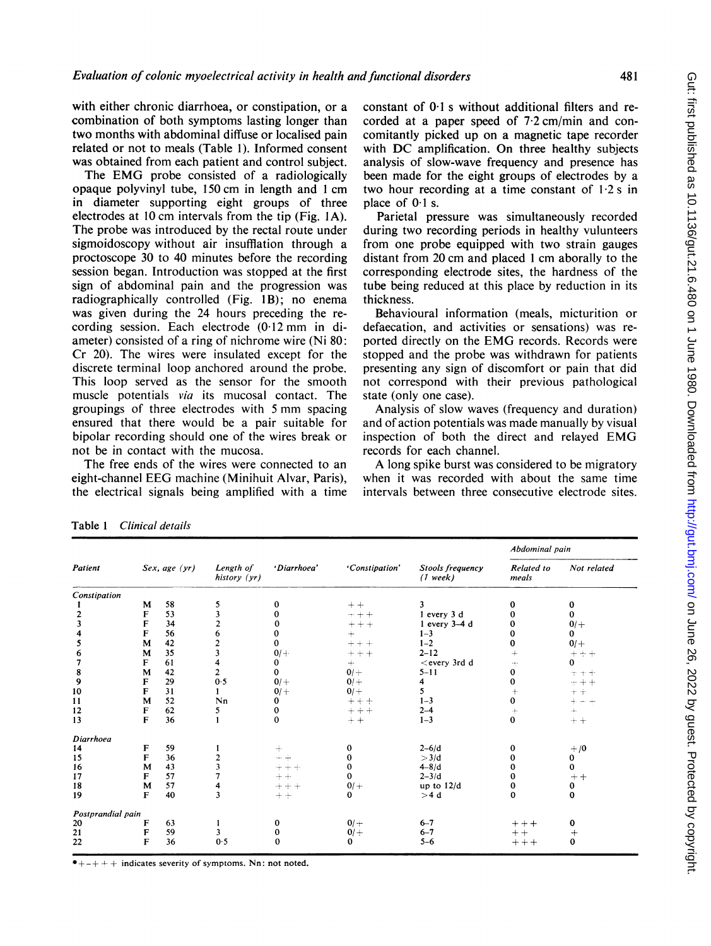with either chronic diarrhoea, or constipation, or a combination of both symptoms lasting longer than two months with abdominal diffuse or localised pain related or not to meals (Table 1). Informed consent was obtained from each patient and control subject.

The EMG probe consisted of <sup>a</sup> radiologically opaque polyvinyl tube, 150 cm in length and <sup>1</sup> cm in diameter supporting eight groups of three electrodes at <sup>10</sup> cm intervals from the tip (Fig. IA). The probe was introduced by the rectal route under sigmoidoscopy without air insufflation through a proctoscope 30 to 40 minutes before the recording session began. Introduction was stopped at the first sign of abdominal pain and the progression was radiographically controlled (Fig. 1B); no enema was given during the 24 hours preceding the recording session. Each electrode (0.12 mm in diameter) consisted of a ring of nichrome wire (Ni 80: Cr 20). The wires were insulated except for the discrete terminal loop anchored around the probe. This loop served as the sensor for the smooth muscle potentials via its mucosal contact. The groupings of three electrodes with <sup>5</sup> mm spacing ensured that there would be a pair suitable for bipolar recording should one of the wires break or not be in contact with the mucosa.

The free ends of the wires were connected to an eight-channel EEG machine (Minihuit Alvar, Paris), the electrical signals being amplified with a time

Sex, age (yr) Length of

history (yr)

5

constant of 0-1 <sup>s</sup> without additional filters and recorded at a paper speed of 7-2 cm/min and concomitantly picked up on a magnetic tape recorder with DC amplification. On three healthy subjects analysis of slow-wave frequency and presence has been made for the eight groups of electrodes by a two hour recording at a time constant of  $1.2$  s in place of  $0.1$  s.

Parietal pressure was simultaneously recorded during two recording periods in healthy vulunteers from one probe equipped with two strain gauges distant from 20 cm and placed <sup>1</sup> cm aborally to the corresponding electrode sites, the hardness of the tube being reduced at this place by reduction in its thickness.

Behavioural information (meals, micturition or defaecation, and activities or sensations) was reported directly on the EMG records. Records were stopped and the probe was withdrawn for patients presenting any sign of discomfort or pain that did not correspond with their previous pathological state (only one case).

Analysis of slow waves (frequency and duration) and of action potentials was made manually by visual inspection of both the direct and relayed EMG records for each channel.

A long spike burst was considered to be migratory when it was recorded with about the same time intervals between three consecutive electrode sites.

 $\mathbf{0}$ 

'Constipation' Stools frequency Related to Not related

 $(1$  week)

3

Abdominal pain

0 0  $0/ +$ 0  $0/+$  $\vec{0}$ 

1,

 $+ +$ 

 $+/0$ 

 $\frac{1}{2}$  $\frac{1}{2}$  $\pm$ .

 $+$   $+$ 

 $\mathbf 0$ 

Table <sup>1</sup> Clinical details

Patient

Constipation

M

58

| W                 |                                      |                                                                                        |           |          |                                       |                                                                                                                                                                                     |           |
|-------------------|--------------------------------------|----------------------------------------------------------------------------------------|-----------|----------|---------------------------------------|-------------------------------------------------------------------------------------------------------------------------------------------------------------------------------------|-----------|
|                   |                                      |                                                                                        |           |          |                                       |                                                                                                                                                                                     |           |
|                   |                                      |                                                                                        |           |          |                                       |                                                                                                                                                                                     |           |
|                   |                                      |                                                                                        |           | $+$      |                                       |                                                                                                                                                                                     |           |
| м                 | 42                                   |                                                                                        | 0         | $+++$    | $1 - 2$                               |                                                                                                                                                                                     |           |
| M                 |                                      |                                                                                        |           | $++++$   |                                       |                                                                                                                                                                                     |           |
| F                 | 61                                   |                                                                                        | 0         | $+$      |                                       |                                                                                                                                                                                     |           |
| M                 | 42                                   | 2                                                                                      | 0         | $0/+$    |                                       |                                                                                                                                                                                     |           |
| F                 |                                      | 0.5                                                                                    | $0/ +$    | $0/+$    | 4                                     |                                                                                                                                                                                     |           |
| F                 |                                      |                                                                                        | $0/ +$    | $0/+$    | 5.                                    |                                                                                                                                                                                     |           |
| M                 |                                      | Nn                                                                                     | 0         | $++++$   |                                       |                                                                                                                                                                                     |           |
| F                 |                                      |                                                                                        | 0         | $+ + +$  | $2 - 4$                               |                                                                                                                                                                                     |           |
|                   |                                      |                                                                                        | 0         | $+ +$    |                                       | 0                                                                                                                                                                                   |           |
|                   |                                      |                                                                                        |           |          |                                       |                                                                                                                                                                                     |           |
| F                 |                                      |                                                                                        | ÷         | 0        |                                       |                                                                                                                                                                                     |           |
| F                 | 36                                   |                                                                                        | 수수        |          | >3/d                                  |                                                                                                                                                                                     |           |
| M                 | 43                                   |                                                                                        | $+ + + +$ | 0        | $4 - 8/d$                             |                                                                                                                                                                                     |           |
|                   |                                      |                                                                                        | $+ +$     | 0        |                                       |                                                                                                                                                                                     |           |
| M                 |                                      |                                                                                        | $+ + +$   | $0/+$    |                                       |                                                                                                                                                                                     |           |
|                   |                                      | 3                                                                                      | $++$      | $\bf{0}$ |                                       | 0                                                                                                                                                                                   |           |
| Postprandial pain |                                      |                                                                                        |           |          |                                       |                                                                                                                                                                                     |           |
| F                 | 63                                   |                                                                                        |           |          | $6 - 7$                               | $++++$                                                                                                                                                                              |           |
| F                 |                                      |                                                                                        |           |          |                                       | $++$                                                                                                                                                                                |           |
| F                 |                                      | 0.5                                                                                    |           | 0        |                                       | $++++$                                                                                                                                                                              |           |
|                   | F<br>F<br>F<br>F<br>F<br>$\mathbf F$ | 53<br>34<br>56<br>35<br>29<br>31<br>52<br>62<br>36<br>59<br>57<br>57<br>40<br>59<br>36 |           | $0/ +$   | $- + +$<br>$+ + +$<br>$0/+$<br>$0/ +$ | 1 every 3 d<br>$1$ every $3-4$ d<br>$1 - 3$<br>$2 - 12$<br>$<$ every 3rd d<br>$5 - 11$<br>$1 - 3$<br>$1 - 3$<br>$2 - 6/d$<br>$2 - 3/d$<br>up to $12/d$<br>>4d<br>$6 - 7$<br>$5 - 6$ | ັບ<br>- 1 |

 $+ +$ 

'Diarrhoea'

 $\theta$ 

 $-++$  indicates severity of symptoms. Nn: not noted.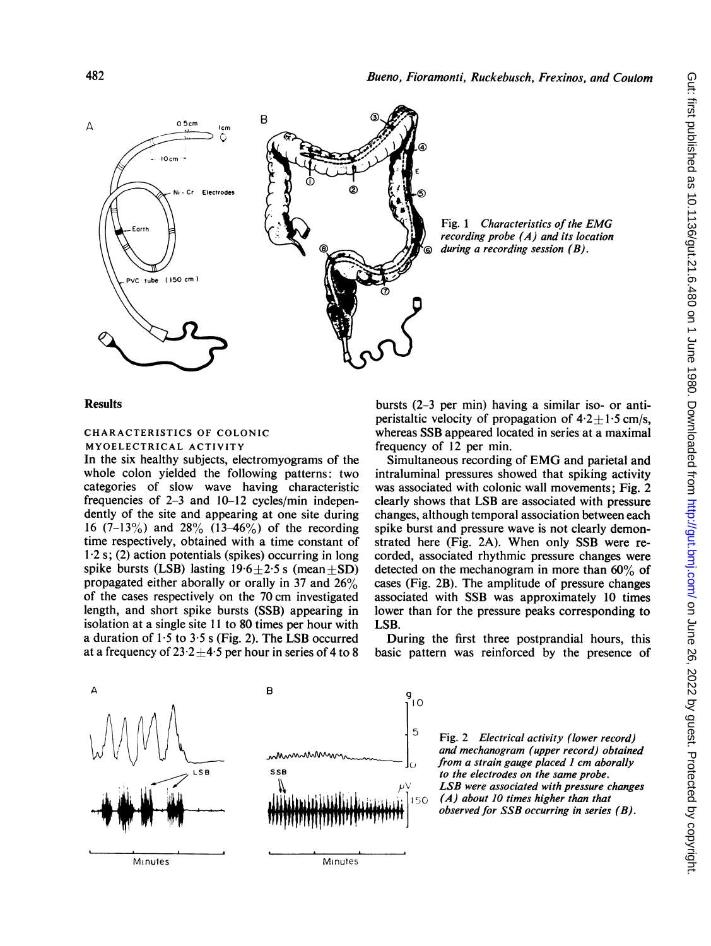

Fig. <sup>1</sup> Characteristics of the EMG recording probe (A) and its location during a recording session  $(B)$ .

## **Results**

# CHARACTERISTICS OF COLONIC MYOELECTRICAL ACTIVITY

In the six healthy subjects, electromyograms of the whole colon yielded the following patterns: two categories of slow wave having characteristic frequencies of 2-3 and 10-12 cycles/min independently of the site and appearing at one site during 16 (7-13%) and 28% (13-46%) of the recording time respectively, obtained with a time constant of 1.2 s; (2) action potentials (spikes) occurring in long spike bursts (LSB) lasting  $19.6 \pm 2.5$  s (mean  $\pm$ SD) propagated either aborally or orally in 37 and 26% of the cases respectively on the 70 cm investigated length, and short spike bursts (SSB) appearing in isolation at a single site 11 to 80 times per hour with a duration of  $1.5$  to  $3.5$  s (Fig. 2). The LSB occurred at a frequency of  $23.2 \pm 4.5$  per hour in series of 4 to 8 bursts (2-3 per min) having a similar iso- or antiperistaltic velocity of propagation of  $4.2 \pm 1.5$  cm/s, whereas SSB appeared located in series at a maximal frequency of 12 per min.

Simultaneous recording of EMG and parietal and intraluminal pressures showed that spiking activity was associated with colonic wall movements; Fig. 2 clearly shows that LSB are associated with pressure changes, although temporal association between each spike burst and pressure wave is not clearly demonstrated here (Fig. 2A). When only SSB were recorded, associated rhythmic pressure changes were detected on the mechanogram in more than 60% of cases (Fig. 2B). The amplitude of pressure changes associated with SSB was approximately 10 times lower than for the pressure peaks corresponding to LSB.

During the first three postprandial hours, this basic pattern was reinforced by the presence of

 $5$  Fig. 2 Electrical activity (lower record) and mechanogram (upper record) obtained from a strain gauge placed 1 cm aborally sse to the electrodes on the same probe. *LSB* were associated with pressure changes<br> $150(A)$  about 10 times higher than that  $(A)$  about 10 times higher than that observed for SSB occurring in series (B).

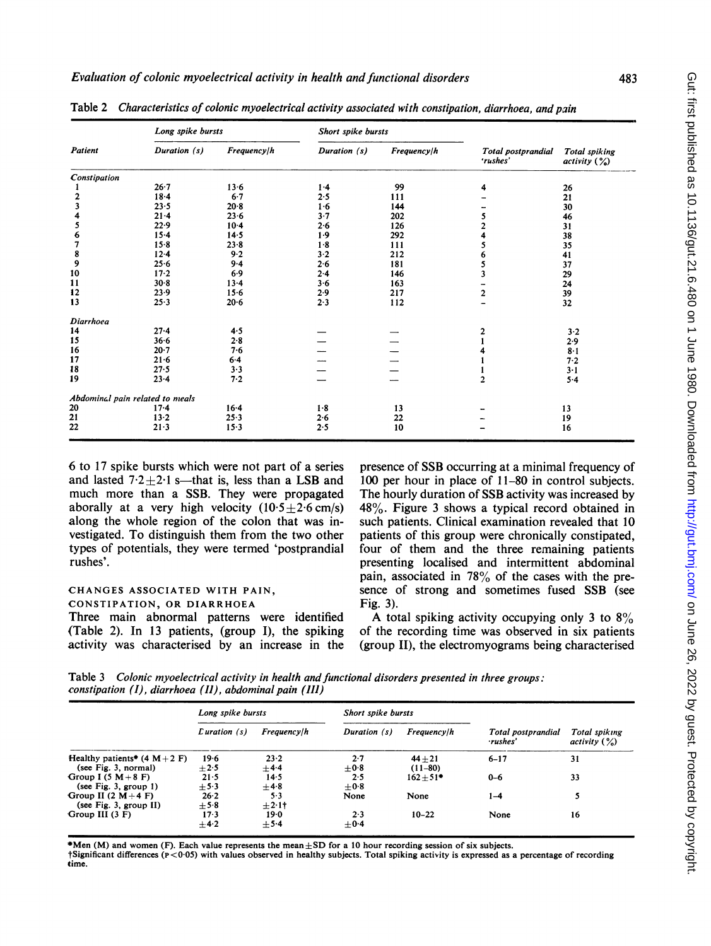|              | Long spike bursts               |             | Short spike bursts |             |                                |                                      |
|--------------|---------------------------------|-------------|--------------------|-------------|--------------------------------|--------------------------------------|
| Patient      | Duration (s)                    | Frequency/h | Duration (s)       | Frequency/h | Total postprandial<br>'rushes' | <b>Total spiking</b><br>activity (%) |
| Constipation |                                 |             |                    |             |                                |                                      |
|              | $26 - 7$                        | $13 - 6$    | 1.4                | 99          | 4                              | 26                                   |
|              | $18-4$                          | $6-7$       | 2.5                | 111         |                                | 21                                   |
|              | 23.5                            | 20.8        | $1-6$              | 144         |                                | 30                                   |
|              | $21 - 4$                        | 23.6        | $3-7$              | 202         | 5                              | 46                                   |
|              | 22.9                            | $10-4$      | 2.6                | 126         |                                | 31                                   |
| 6            | $15 - 4$                        | 14.5        | 1.9                | 292         |                                | 38                                   |
|              | $15 - 8$                        | $23 - 8$    | $1-8$              | 111         |                                | 35                                   |
| 8            | $12 - 4$                        | 9.2         | 3.2                | 212         |                                | 41                                   |
| 9            | 25.6                            | $9 - 4$     | 2.6                | 181         | 5                              | 37                                   |
| 10           | $17 - 2$                        | 6.9         | 2.4                | 146         | 3                              | 29                                   |
| 11           | 30.8                            | $13 - 4$    | 3.6                | 163         |                                | 24                                   |
| 12           | 23.9                            | $15 - 6$    | 2.9                | 217         | $\overline{a}$                 | 39                                   |
| 13           | 25.3                            | 20.6        | 2.3                | 112         |                                | 32                                   |
| Diarrhoea    |                                 |             |                    |             |                                |                                      |
| 14           | $27 - 4$                        | 4.5         |                    |             | 2                              | 3.2                                  |
| 15           | $36 - 6$                        | 2.8         |                    |             |                                | 2.9                                  |
| 16           | $20-7$                          | 7.6         |                    |             |                                | $8-1$                                |
| 17           | $21 - 6$                        | $6 - 4$     |                    |             |                                | 7.2                                  |
| 18           | 27.5                            | 3.3         |                    |             |                                | $3-1$                                |
| 19           | $23 - 4$                        | 7.2         |                    |             | $\overline{2}$                 | $5-4$                                |
|              | Abdominal pain related to meals |             |                    |             |                                |                                      |
| 20           | $17-4$                          | $16-4$      | 1.8                | 13          |                                | 13                                   |
| 21           | $13 - 2$                        | $25-3$      | 2.6                | 22          |                                | 19                                   |
| 22           | $21-3$                          | $15-3$      | 2.5                | 10          |                                | 16                                   |

Table 2 Characteristics of colonic myoelectrical activity associated with constipation, diarrhoea, and pain

6 to 17 spike bursts which were not part of a series and lasted  $7.2+2.1$  s—that is, less than a LSB and much more than a SSB. They were propagated aborally at a very high velocity  $(10.5 \pm 2.6 \text{ cm/s})$ along the whole region of the colon that was investigated. To distinguish them from the two other types of potentials, they were termed 'postprandial rushes'.

# CHANGES ASSOCIATED WITH PAIN, CONSTIPATION, OR DIARRHOEA

Three main abnormal patterns were identified (Table 2). In 13 patients, (group I), the spiking activity was characterised by an increase in the

presence of SSB occurring at a minimal frequency of 100 per hour in place of 11-80 in control subjects. The hourly duration of SSB activity was increased by 48%. Figure 3 shows a typical record obtained in such patients. Clinical examination revealed that 10 patients of this group were chronically constipated, four of them and the three remaining patients presenting localised and intermittent abdominal pain, associated in 78% of the cases with the presence of strong and sometimes fused SSB (see Fig. 3).

A total spiking activity occupying only 3 to  $8\%$ of the recording time was observed in six patients (group II), the electromyograms being characterised

Table 3 Colonic myoelectrical activity in health and functional disorders presented in three groups: constipation  $(I)$ , diarrhoea  $(II)$ , abdominal pain  $(III)$ 

|                                 | Long spike bursts |             | Short spike bursts |             |                                |                                  |
|---------------------------------|-------------------|-------------|--------------------|-------------|--------------------------------|----------------------------------|
|                                 | $L$ uration $(s)$ | Frequency/h | Duration (s)       | Frequency/h | Total postprandial<br>·rushes' | Total spiking<br>activity $(\%)$ |
| Healthy patients* $(4 M + 2 F)$ | 19.6              | 23.2        | $2 - 7$            | $44 + 21$   | $6 - 17$                       | 31                               |
| (see Fig. 3, normal)            | $+2.5$            | ±4.4        | $\pm$ 0.8          | $(11-80)$   |                                |                                  |
| Group I $(5 M+8 F)$             | 21.5              | 14.5        | 2.5                | $162 + 51*$ | $0 - 6$                        | 33                               |
| (see Fig. 3, group $1$ )        | $+5.3$            | $+4.8$      | $+0.8$             |             |                                |                                  |
| Group II $(2 M+4 F)$            | 26.2              | 5.3         | None               | None        | $1 - 4$                        |                                  |
| (see Fig. 3, group II)          | $+5.8$            | $\pm 2.1$   |                    |             |                                |                                  |
| Group III $(3 F)$               | 173               | 19.0        | 2.3                | $10 - 22$   | None                           | 16                               |
|                                 | ±4.2              | $+5.4$      | $+0.4$             |             |                                |                                  |

\*Men (M) and women (F). Each value represents the mean  $\pm SD$  for a 10 hour recording session of six subjects.

tSignificant differences (P<0-05) with values observed in healthy subjects. Total spiking activity is expressed as a percentage of recording time.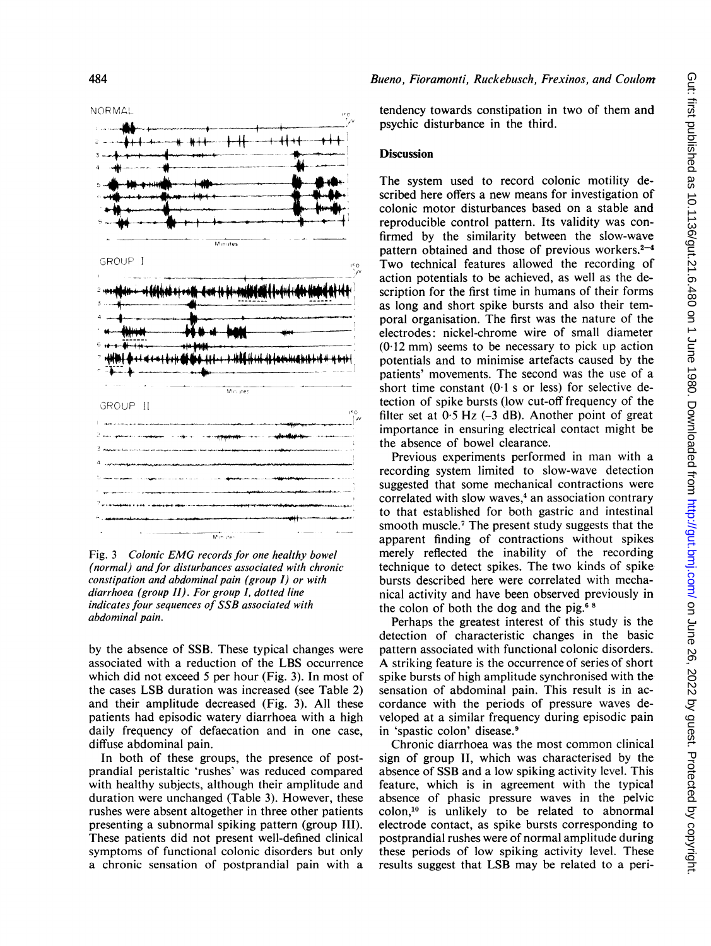NORMALL



Fig. <sup>3</sup> Colonic EMG records for one healthy bowel (normal) and for disturbances associated with chronic constipation and abdominal pain (group I) or with diarrhoea (group II). For group I, dotted line indicates four sequences of SSB associated with abdominal pain.

by the absence of SSB. These typical changes were associated with a reduction of the LBS occurrence which did not exceed 5 per hour (Fig. 3). In most of the cases LSB duration was increased (see Table 2) and their amplitude decreased (Fig. 3). All these patients had episodic watery diarrhoea with a high daily frequency of defaecation and in one case, diffuse abdominal pain.

In both of these groups, the presence of postprandial peristaltic 'rushes' was reduced compared with healthy subjects, although their amplitude and duration were unchanged (Table 3). However, these rushes were absent altogether in three other patients presenting a subnormal spiking pattern (group TII). These patients did not present well-defined clinical symptoms of functional colonic disorders but only a chronic sensation of postprandial pain with a tendency towards constipation in two of them and psychic disturbance in the third.

## **Discussion**

f 1 reproducible control pattern. Its validity was con-<br>firmed by the similarity between the slow-wave The system used to record colonic motility described here offers a new means for investigation of colonic motor disturbances based on a stable and reproducible control pattern. Its validity was conpattern obtained and those of previous workers. $2-4$ Two technical features allowed the recording of action potentials to be achieved, as well as the description for the first time in humans of their forms as long and short spike bursts and also their temporal organisation. The first was the nature of the electrodes: nickel-chrome wire of small diameter (0 <sup>12</sup> mm) seems to be necessary to pick up action potentials and to minimise artefacts caused by the patients' movements. The second was the use of a short time constant  $(0.1 \text{ s or } \text{less})$  for selective detection of spike bursts (low cut-off frequency of the filter set at  $0.5$  Hz ( $-3$  dB). Another point of great importance in ensuring electrical contact might be the absence of bowel clearance.

> Previous experiments performed in man with a recording system limited to slow-wave detection suggested that some mechanical contractions were correlated with slow waves,<sup>4</sup> an association contrary to that established for both gastric and intestinal smooth muscle.7 The present study suggests that the apparent finding of contractions without spikes merely reflected the inability of the recording technique to detect spikes. The two kinds of spike bursts described here were correlated with mechanical activity and have been observed previously in the colon of both the dog and the pig. $68$

> Perhaps the greatest interest of this study is the detection of characteristic changes in the basic pattern associated with functional colonic disorders. A striking feature is the occurrence of series of short spike bursts of high amplitude synchronised with the sensation of abdominal pain. This result is in accordance with the periods of pressure waves developed at a similar frequency during episodic pain in 'spastic colon' disease.9

> Chronic diarrhoea was the most common clinical sign of group II, which was characterised by the absence of SSB and a low spiking activity level. This feature, which is in agreement with the typical absence of phasic pressure waves in the pelvic colon,'0 is unlikely to be related to abnormal electrode contact, as spike bursts corresponding to postprandial rushes were of normal amplitude during these periods of low spiking activity level. These results suggest that LSB may be related to a peri-